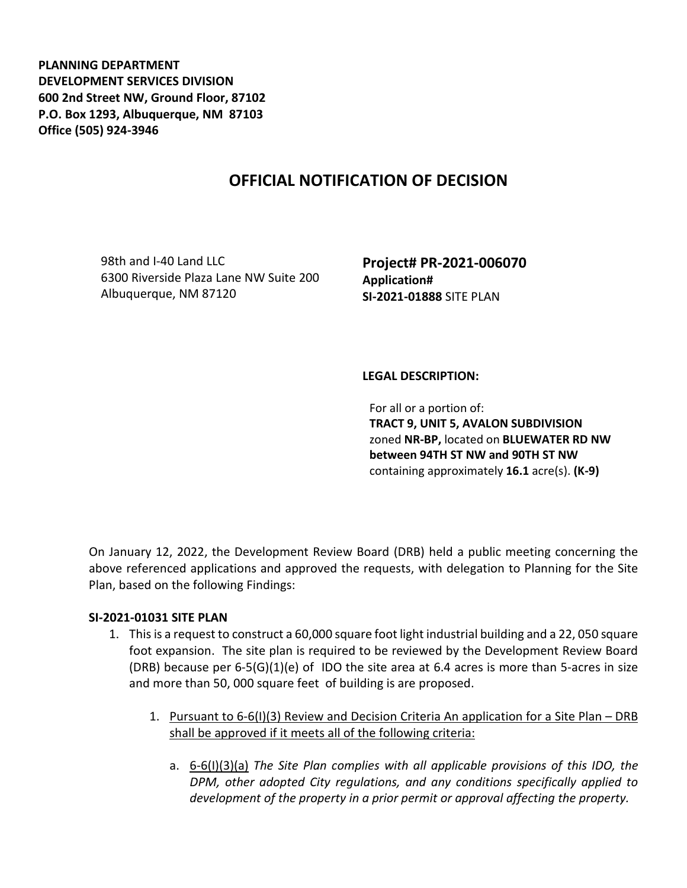**PLANNING DEPARTMENT DEVELOPMENT SERVICES DIVISION 600 2nd Street NW, Ground Floor, 87102 P.O. Box 1293, Albuquerque, NM 87103 Office (505) 924-3946** 

## **OFFICIAL NOTIFICATION OF DECISION**

98th and I-40 Land LLC 6300 Riverside Plaza Lane NW Suite 200 Albuquerque, NM 87120

**Project# PR-2021-006070 Application# SI-2021-01888** SITE PLAN

## **LEGAL DESCRIPTION:**

For all or a portion of: **TRACT 9, UNIT 5, AVALON SUBDIVISION**  zoned **NR-BP,** located on **BLUEWATER RD NW between 94TH ST NW and 90TH ST NW**  containing approximately **16.1** acre(s). **(K-9)** 

On January 12, 2022, the Development Review Board (DRB) held a public meeting concerning the above referenced applications and approved the requests, with delegation to Planning for the Site Plan, based on the following Findings:

## **SI-2021-01031 SITE PLAN**

- 1. This is a request to construct a 60,000 square foot light industrial building and a 22, 050 square foot expansion. The site plan is required to be reviewed by the Development Review Board (DRB) because per  $6-5(G)(1)(e)$  of IDO the site area at 6.4 acres is more than 5-acres in size and more than 50, 000 square feet of building is are proposed.
	- 1. Pursuant to 6-6(I)(3) Review and Decision Criteria An application for a Site Plan DRB shall be approved if it meets all of the following criteria:
		- a. 6-6(I)(3)(a) *The Site Plan complies with all applicable provisions of this IDO, the DPM, other adopted City regulations, and any conditions specifically applied to development of the property in a prior permit or approval affecting the property.*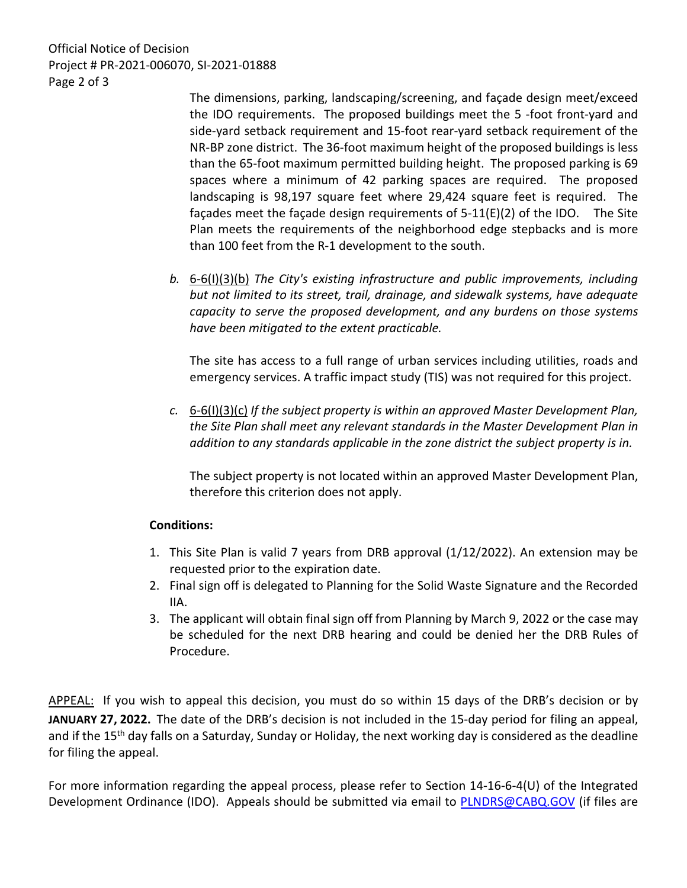Official Notice of Decision Project # PR-2021-006070, SI-2021-01888 Page 2 of 3

> The dimensions, parking, landscaping/screening, and façade design meet/exceed the IDO requirements. The proposed buildings meet the 5 -foot front-yard and side-yard setback requirement and 15-foot rear-yard setback requirement of the NR-BP zone district. The 36-foot maximum height of the proposed buildings is less than the 65-foot maximum permitted building height. The proposed parking is 69 spaces where a minimum of 42 parking spaces are required. The proposed landscaping is 98,197 square feet where 29,424 square feet is required. The façades meet the façade design requirements of 5-11(E)(2) of the IDO. The Site Plan meets the requirements of the neighborhood edge stepbacks and is more than 100 feet from the R-1 development to the south.

*b.* 6-6(I)(3)(b) *The City's existing infrastructure and public improvements, including but not limited to its street, trail, drainage, and sidewalk systems, have adequate capacity to serve the proposed development, and any burdens on those systems have been mitigated to the extent practicable.* 

The site has access to a full range of urban services including utilities, roads and emergency services. A traffic impact study (TIS) was not required for this project.

*c.* 6-6(I)(3)(c) *If the subject property is within an approved Master Development Plan, the Site Plan shall meet any relevant standards in the Master Development Plan in addition to any standards applicable in the zone district the subject property is in.*

The subject property is not located within an approved Master Development Plan, therefore this criterion does not apply.

## **Conditions:**

- 1. This Site Plan is valid 7 years from DRB approval (1/12/2022). An extension may be requested prior to the expiration date.
- 2. Final sign off is delegated to Planning for the Solid Waste Signature and the Recorded IIA.
- 3. The applicant will obtain final sign off from Planning by March 9, 2022 or the case may be scheduled for the next DRB hearing and could be denied her the DRB Rules of Procedure.

APPEAL: If you wish to appeal this decision, you must do so within 15 days of the DRB's decision or by **JANUARY 27, 2022.** The date of the DRB's decision is not included in the 15-day period for filing an appeal, and if the 15<sup>th</sup> day falls on a Saturday, Sunday or Holiday, the next working day is considered as the deadline for filing the appeal.

For more information regarding the appeal process, please refer to Section 14-16-6-4(U) of the Integrated Development Ordinance (IDO). Appeals should be submitted via email to [PLNDRS@CABQ.GOV](mailto:PLNDRS@CABQ.GOV) (if files are